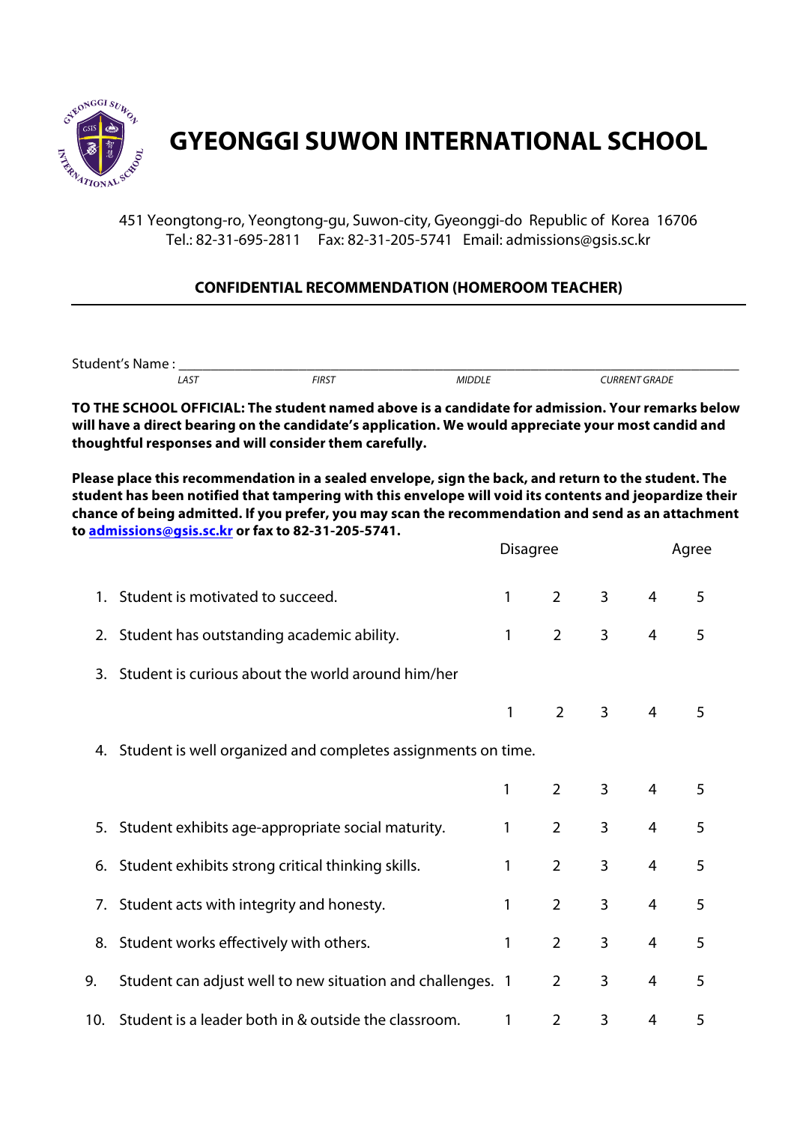

## **GYEONGGI SUWON INTERNATIONAL SCHOOL**

451 Yeongtong-ro, Yeongtong-gu, Suwon-city, Gyeonggi-do Republic of Korea 16706 Tel.: 82-31-695-2811 Fax: 82-31-205-5741 Email: admissions@gsis.sc.kr

## **CONFIDENTIAL RECOMMENDATION (HOMEROOM TEACHER)**

Student's Name :<br>
AST FIRST MIDDLE  *LAST FIRST MIDDLE CURRENT GRADE*

**TO THE SCHOOL OFFICIAL: The student named above is a candidate for admission. Your remarks below will have a direct bearing on the candidate's application. We would appreciate your most candid and thoughtful responses and will consider them carefully.**

**Please place this recommendation in a sealed envelope, sign the back, and return to the student. The student has been notified that tampering with this envelope will void its contents and jeopardize their chance of being admitted. If you prefer, you may scan the recommendation and send as an attachment to admissions@gsis.sc.kr or fax to 82-31-205-5741.**

|     |                                                                 | <b>Disagree</b> |                |                |                | Agree |  |
|-----|-----------------------------------------------------------------|-----------------|----------------|----------------|----------------|-------|--|
|     | 1. Student is motivated to succeed.                             | 1               | $\overline{2}$ | $\overline{3}$ | 4              | 5     |  |
|     | 2. Student has outstanding academic ability.                    | 1               | 2              | 3              | 4              | 5     |  |
| 3.  | Student is curious about the world around him/her               |                 |                |                |                |       |  |
|     |                                                                 | 1               | $\overline{2}$ | $\overline{3}$ | $\overline{4}$ | 5     |  |
|     | 4. Student is well organized and completes assignments on time. |                 |                |                |                |       |  |
|     |                                                                 | 1               | $\overline{2}$ | 3              | $\overline{4}$ | 5     |  |
|     | 5. Student exhibits age-appropriate social maturity.            | 1               | $\overline{2}$ | 3              | $\overline{4}$ | 5     |  |
|     | 6. Student exhibits strong critical thinking skills.            | 1               | $\overline{2}$ | 3              | $\overline{4}$ | 5     |  |
|     | 7. Student acts with integrity and honesty.                     | 1               | $\overline{2}$ | 3              | $\overline{4}$ | 5     |  |
|     | 8. Student works effectively with others.                       | 1               | $\overline{2}$ | 3              | 4              | 5     |  |
| 9.  | Student can adjust well to new situation and challenges. 1      |                 | $\overline{2}$ | 3              | 4              | 5     |  |
| 10. | Student is a leader both in & outside the classroom.            | 1               | $\overline{2}$ | 3              | 4              | 5     |  |